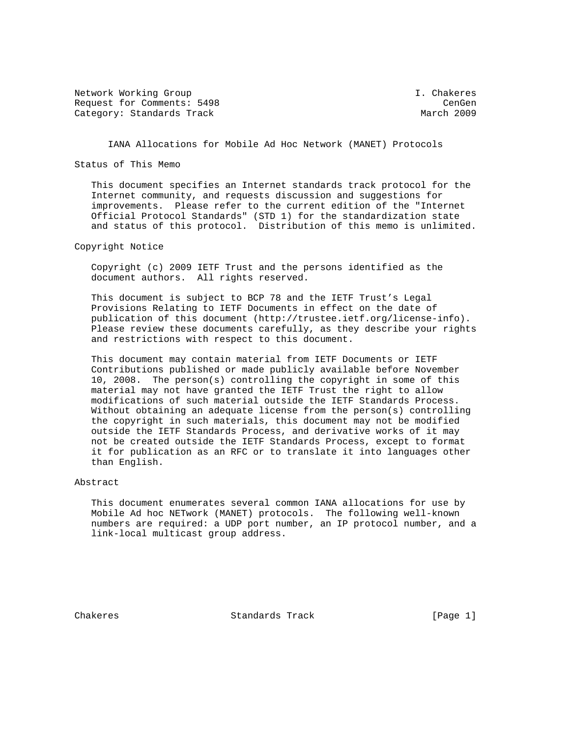Network Working Group and the set of the set of the set of the set of the set of the set of the set of the set o Request for Comments: 5498 CenGen<br>Category: Standards Track Category: March 2009 Category: Standards Track

IANA Allocations for Mobile Ad Hoc Network (MANET) Protocols

Status of This Memo

 This document specifies an Internet standards track protocol for the Internet community, and requests discussion and suggestions for improvements. Please refer to the current edition of the "Internet Official Protocol Standards" (STD 1) for the standardization state and status of this protocol. Distribution of this memo is unlimited.

Copyright Notice

 Copyright (c) 2009 IETF Trust and the persons identified as the document authors. All rights reserved.

 This document is subject to BCP 78 and the IETF Trust's Legal Provisions Relating to IETF Documents in effect on the date of publication of this document (http://trustee.ietf.org/license-info). Please review these documents carefully, as they describe your rights and restrictions with respect to this document.

 This document may contain material from IETF Documents or IETF Contributions published or made publicly available before November 10, 2008. The person(s) controlling the copyright in some of this material may not have granted the IETF Trust the right to allow modifications of such material outside the IETF Standards Process. Without obtaining an adequate license from the person(s) controlling the copyright in such materials, this document may not be modified outside the IETF Standards Process, and derivative works of it may not be created outside the IETF Standards Process, except to format it for publication as an RFC or to translate it into languages other than English.

## Abstract

 This document enumerates several common IANA allocations for use by Mobile Ad hoc NETwork (MANET) protocols. The following well-known numbers are required: a UDP port number, an IP protocol number, and a link-local multicast group address.

Chakeres **Standards Track** [Page 1]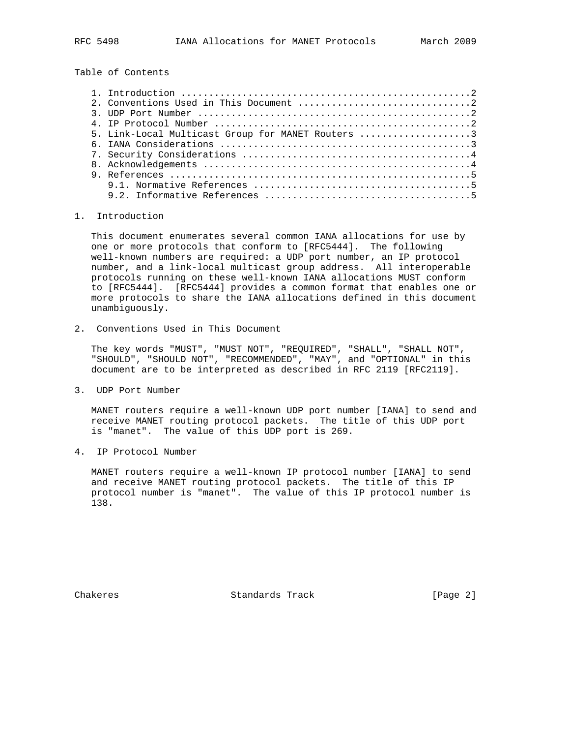Table of Contents

| 5. Link-Local Multicast Group for MANET Routers 3 |  |
|---------------------------------------------------|--|
|                                                   |  |
|                                                   |  |
|                                                   |  |
|                                                   |  |
|                                                   |  |
|                                                   |  |

## 1. Introduction

 This document enumerates several common IANA allocations for use by one or more protocols that conform to [RFC5444]. The following well-known numbers are required: a UDP port number, an IP protocol number, and a link-local multicast group address. All interoperable protocols running on these well-known IANA allocations MUST conform to [RFC5444]. [RFC5444] provides a common format that enables one or more protocols to share the IANA allocations defined in this document unambiguously.

2. Conventions Used in This Document

 The key words "MUST", "MUST NOT", "REQUIRED", "SHALL", "SHALL NOT", "SHOULD", "SHOULD NOT", "RECOMMENDED", "MAY", and "OPTIONAL" in this document are to be interpreted as described in RFC 2119 [RFC2119].

3. UDP Port Number

 MANET routers require a well-known UDP port number [IANA] to send and receive MANET routing protocol packets. The title of this UDP port is "manet". The value of this UDP port is 269.

4. IP Protocol Number

 MANET routers require a well-known IP protocol number [IANA] to send and receive MANET routing protocol packets. The title of this IP protocol number is "manet". The value of this IP protocol number is 138.

Chakeres Standards Track [Page 2]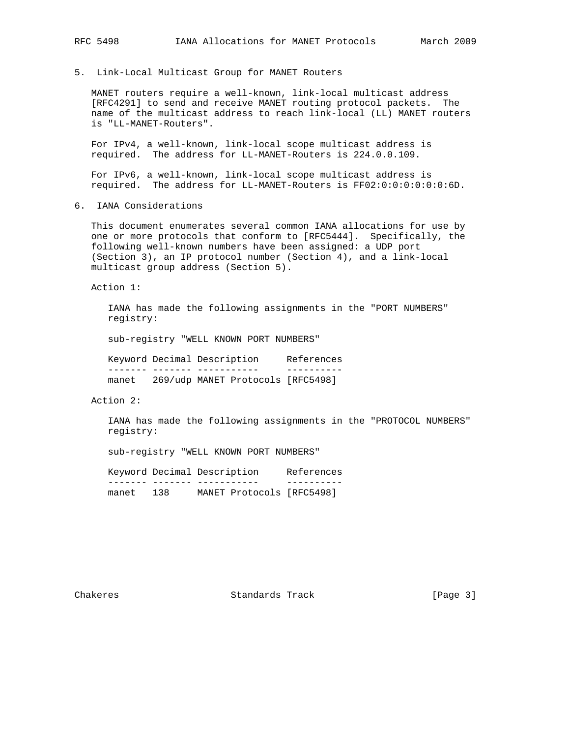5. Link-Local Multicast Group for MANET Routers

 MANET routers require a well-known, link-local multicast address [RFC4291] to send and receive MANET routing protocol packets. The name of the multicast address to reach link-local (LL) MANET routers is "LL-MANET-Routers".

 For IPv4, a well-known, link-local scope multicast address is required. The address for LL-MANET-Routers is 224.0.0.109.

 For IPv6, a well-known, link-local scope multicast address is required. The address for LL-MANET-Routers is FF02:0:0:0:0:0:0:6D.

6. IANA Considerations

 This document enumerates several common IANA allocations for use by one or more protocols that conform to [RFC5444]. Specifically, the following well-known numbers have been assigned: a UDP port (Section 3), an IP protocol number (Section 4), and a link-local multicast group address (Section 5).

Action 1:

 IANA has made the following assignments in the "PORT NUMBERS" registry:

sub-registry "WELL KNOWN PORT NUMBERS"

 Keyword Decimal Description References ------- ------- ----------- --------- manet 269/udp MANET Protocols [RFC5498]

Action 2:

 IANA has made the following assignments in the "PROTOCOL NUMBERS" registry:

sub-registry "WELL KNOWN PORT NUMBERS"

 Keyword Decimal Description References ------- ------- ----------- --------- manet 138 MANET Protocols [RFC5498]

Chakeres Standards Track [Page 3]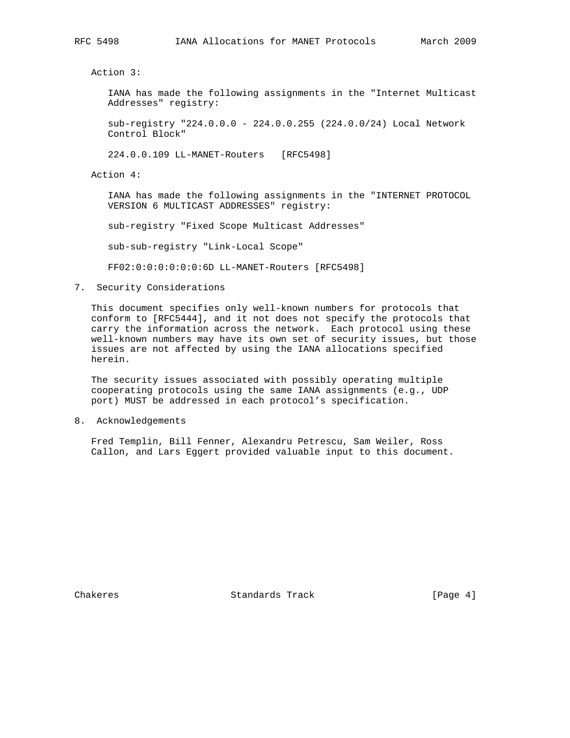Action 3:

 IANA has made the following assignments in the "Internet Multicast Addresses" registry:

 sub-registry "224.0.0.0 - 224.0.0.255 (224.0.0/24) Local Network Control Block"

224.0.0.109 LL-MANET-Routers [RFC5498]

Action 4:

 IANA has made the following assignments in the "INTERNET PROTOCOL VERSION 6 MULTICAST ADDRESSES" registry:

sub-registry "Fixed Scope Multicast Addresses"

sub-sub-registry "Link-Local Scope"

FF02:0:0:0:0:0:0:6D LL-MANET-Routers [RFC5498]

7. Security Considerations

 This document specifies only well-known numbers for protocols that conform to [RFC5444], and it not does not specify the protocols that carry the information across the network. Each protocol using these well-known numbers may have its own set of security issues, but those issues are not affected by using the IANA allocations specified herein.

 The security issues associated with possibly operating multiple cooperating protocols using the same IANA assignments (e.g., UDP port) MUST be addressed in each protocol's specification.

8. Acknowledgements

 Fred Templin, Bill Fenner, Alexandru Petrescu, Sam Weiler, Ross Callon, and Lars Eggert provided valuable input to this document.

Chakeres **Standards Track** [Page 4]